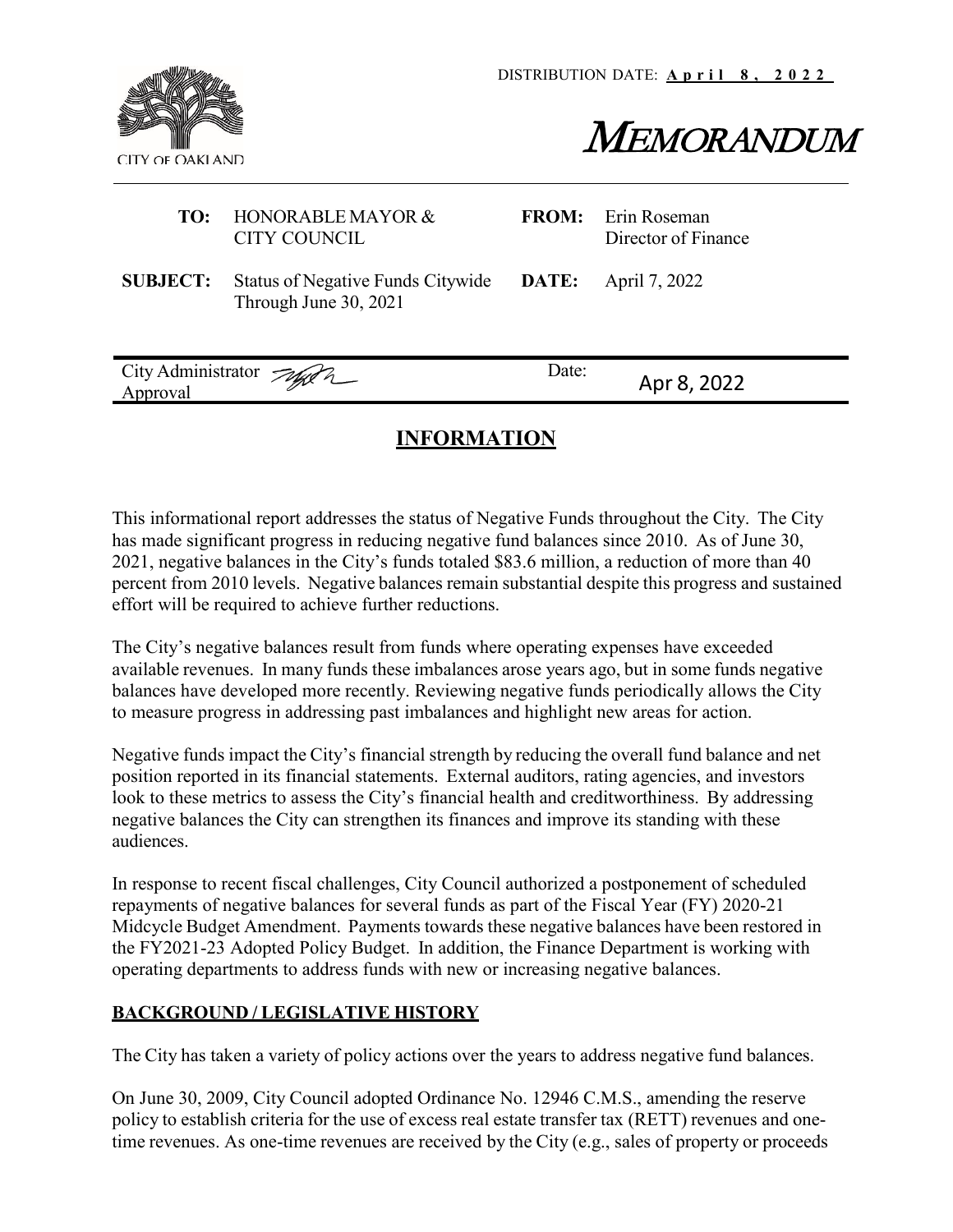

# MEMORANDUM

| TO:             | HONORABLE MAYOR &<br><b>CITY COUNCIL</b>                          | <b>FROM:</b> | Erin Roseman<br>Director of Finance |
|-----------------|-------------------------------------------------------------------|--------------|-------------------------------------|
| <b>SUBJECT:</b> | <b>Status of Negative Funds Citywide</b><br>Through June 30, 2021 | DATE:        | April 7, 2022                       |
| Approval        | City Administrator Jag 2                                          | Date:        | Apr 8, 2022                         |

# **INFORMATION**

This informational report addresses the status of Negative Funds throughout the City. The City has made significant progress in reducing negative fund balances since 2010. As of June 30, 2021, negative balances in the City's funds totaled \$83.6 million, a reduction of more than 40 percent from 2010 levels. Negative balances remain substantial despite this progress and sustained effort will be required to achieve further reductions.

The City's negative balances result from funds where operating expenses have exceeded available revenues. In many funds these imbalances arose years ago, but in some funds negative balances have developed more recently. Reviewing negative funds periodically allows the City to measure progress in addressing past imbalances and highlight new areas for action.

Negative funds impact the City's financial strength by reducing the overall fund balance and net position reported in its financial statements. External auditors, rating agencies, and investors look to these metrics to assess the City's financial health and creditworthiness. By addressing negative balances the City can strengthen its finances and improve its standing with these audiences.

In response to recent fiscal challenges, City Council authorized a postponement of scheduled repayments of negative balances for several funds as part of the Fiscal Year (FY) 2020-21 Midcycle Budget Amendment. Payments towards these negative balances have been restored in the FY2021-23 Adopted Policy Budget. In addition, the Finance Department is working with operating departments to address funds with new or increasing negative balances.

# **BACKGROUND / LEGISLATIVE HISTORY**

The City has taken a variety of policy actions over the years to address negative fund balances.

On June 30, 2009, City Council adopted Ordinance No. 12946 C.M.S., amending the reserve policy to establish criteria for the use of excess real estate transfer tax (RETT) revenues and onetime revenues. As one-time revenues are received by the City (e.g., sales of property or proceeds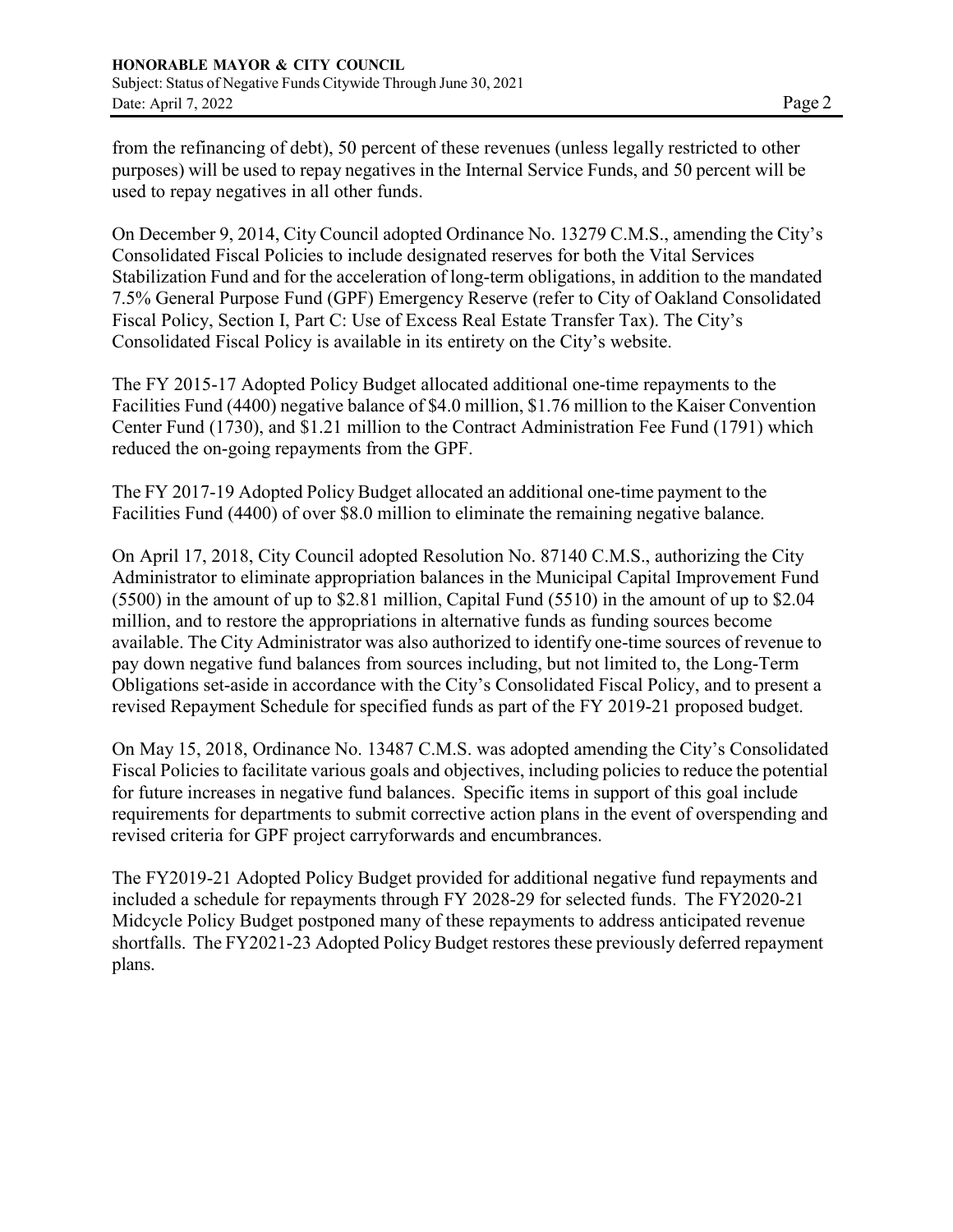from the refinancing of debt), 50 percent of these revenues (unless legally restricted to other purposes) will be used to repay negatives in the Internal Service Funds, and 50 percent will be used to repay negatives in all other funds.

On December 9, 2014, City Council adopted Ordinance No. 13279 C.M.S., amending the City's Consolidated Fiscal Policies to include designated reserves for both the Vital Services Stabilization Fund and for the acceleration of long-term obligations, in addition to the mandated 7.5% General Purpose Fund (GPF) Emergency Reserve (refer to City of Oakland Consolidated Fiscal Policy, Section I, Part C: Use of Excess Real Estate Transfer Tax). The City's Consolidated Fiscal Policy is available in its entirety on the City's website.

The FY 2015-17 Adopted Policy Budget allocated additional one-time repayments to the Facilities Fund (4400) negative balance of \$4.0 million, \$1.76 million to the Kaiser Convention Center Fund (1730), and \$1.21 million to the Contract Administration Fee Fund (1791) which reduced the on-going repayments from the GPF.

The FY 2017-19 Adopted Policy Budget allocated an additional one-time payment to the Facilities Fund (4400) of over \$8.0 million to eliminate the remaining negative balance.

On April 17, 2018, City Council adopted Resolution No. 87140 C.M.S., authorizing the City Administrator to eliminate appropriation balances in the Municipal Capital Improvement Fund (5500) in the amount of up to \$2.81 million, Capital Fund (5510) in the amount of up to \$2.04 million, and to restore the appropriations in alternative funds as funding sources become available. The City Administrator was also authorized to identify one-time sources of revenue to pay down negative fund balances from sources including, but not limited to, the Long-Term Obligations set-aside in accordance with the City's Consolidated Fiscal Policy, and to present a revised Repayment Schedule for specified funds as part of the FY 2019-21 proposed budget.

On May 15, 2018, Ordinance No. 13487 C.M.S. was adopted amending the City's Consolidated Fiscal Policies to facilitate various goals and objectives, including policies to reduce the potential for future increases in negative fund balances. Specific items in support of this goal include requirements for departments to submit corrective action plans in the event of overspending and revised criteria for GPF project carryforwards and encumbrances.

The FY2019-21 Adopted Policy Budget provided for additional negative fund repayments and included a schedule for repayments through FY 2028-29 for selected funds. The FY2020-21 Midcycle Policy Budget postponed many of these repayments to address anticipated revenue shortfalls. The FY2021-23 Adopted Policy Budget restores these previously deferred repayment plans.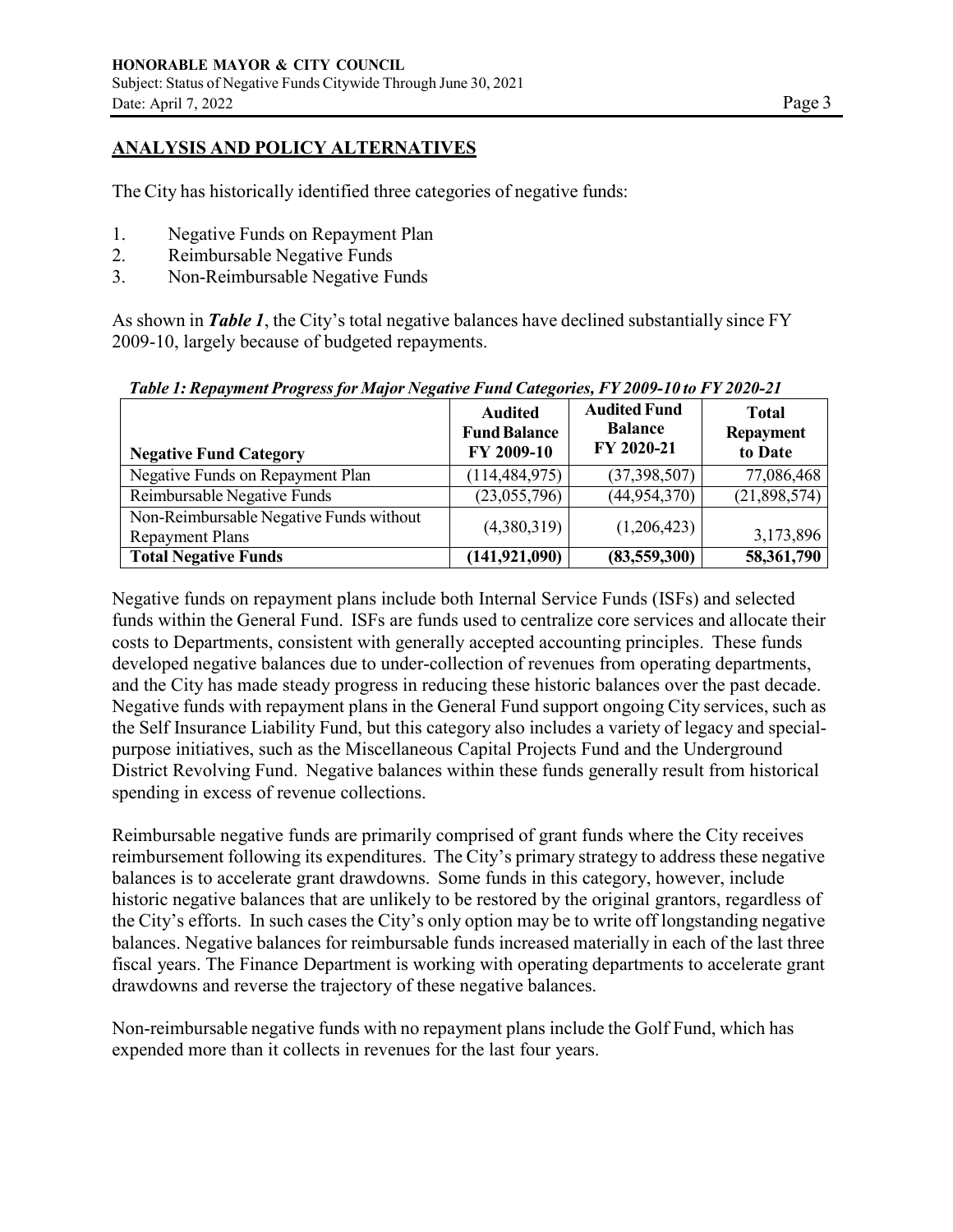## **ANALYSIS AND POLICY ALTERNATIVES**

The City has historically identified three categories of negative funds:

- 1. Negative Funds on Repayment Plan
- 2. Reimbursable Negative Funds
- 3. Non-Reimbursable Negative Funds

As shown in *Table 1*, the City's total negative balances have declined substantially since FY 2009-10, largely because of budgeted repayments.

| <b>Negative Fund Category</b>                                     | <b>Audited</b><br><b>Fund Balance</b><br>FY 2009-10 | <b>Audited Fund</b><br><b>Balance</b><br>FY 2020-21 | <b>Total</b><br>Repayment<br>to Date |
|-------------------------------------------------------------------|-----------------------------------------------------|-----------------------------------------------------|--------------------------------------|
| Negative Funds on Repayment Plan                                  | (114, 484, 975)                                     | (37,398,507)                                        | 77,086,468                           |
| Reimbursable Negative Funds                                       | (23,055,796)                                        | (44, 954, 370)                                      | (21,898,574)                         |
| Non-Reimbursable Negative Funds without<br><b>Repayment Plans</b> | (4,380,319)                                         | (1,206,423)                                         | 3,173,896                            |
| <b>Total Negative Funds</b>                                       | (141, 921, 090)                                     | (83,559,300)                                        | 58,361,790                           |

*Table 1: Repayment Progress for Major Negative Fund Categories, FY 2009-10 to FY 2020-21*

Negative funds on repayment plans include both Internal Service Funds (ISFs) and selected funds within the General Fund. ISFs are funds used to centralize core services and allocate their costs to Departments, consistent with generally accepted accounting principles. These funds developed negative balances due to under-collection of revenues from operating departments, and the City has made steady progress in reducing these historic balances over the past decade. Negative funds with repayment plans in the General Fund support ongoing City services, such as the Self Insurance Liability Fund, but this category also includes a variety of legacy and specialpurpose initiatives, such as the Miscellaneous Capital Projects Fund and the Underground District Revolving Fund. Negative balances within these funds generally result from historical spending in excess of revenue collections.

Reimbursable negative funds are primarily comprised of grant funds where the City receives reimbursement following its expenditures. The City's primary strategy to address these negative balances is to accelerate grant drawdowns. Some funds in this category, however, include historic negative balances that are unlikely to be restored by the original grantors, regardless of the City's efforts. In such cases the City's only option may be to write off longstanding negative balances. Negative balances for reimbursable funds increased materially in each of the last three fiscal years. The Finance Department is working with operating departments to accelerate grant drawdowns and reverse the trajectory of these negative balances.

Non-reimbursable negative funds with no repayment plans include the Golf Fund, which has expended more than it collects in revenues for the last four years.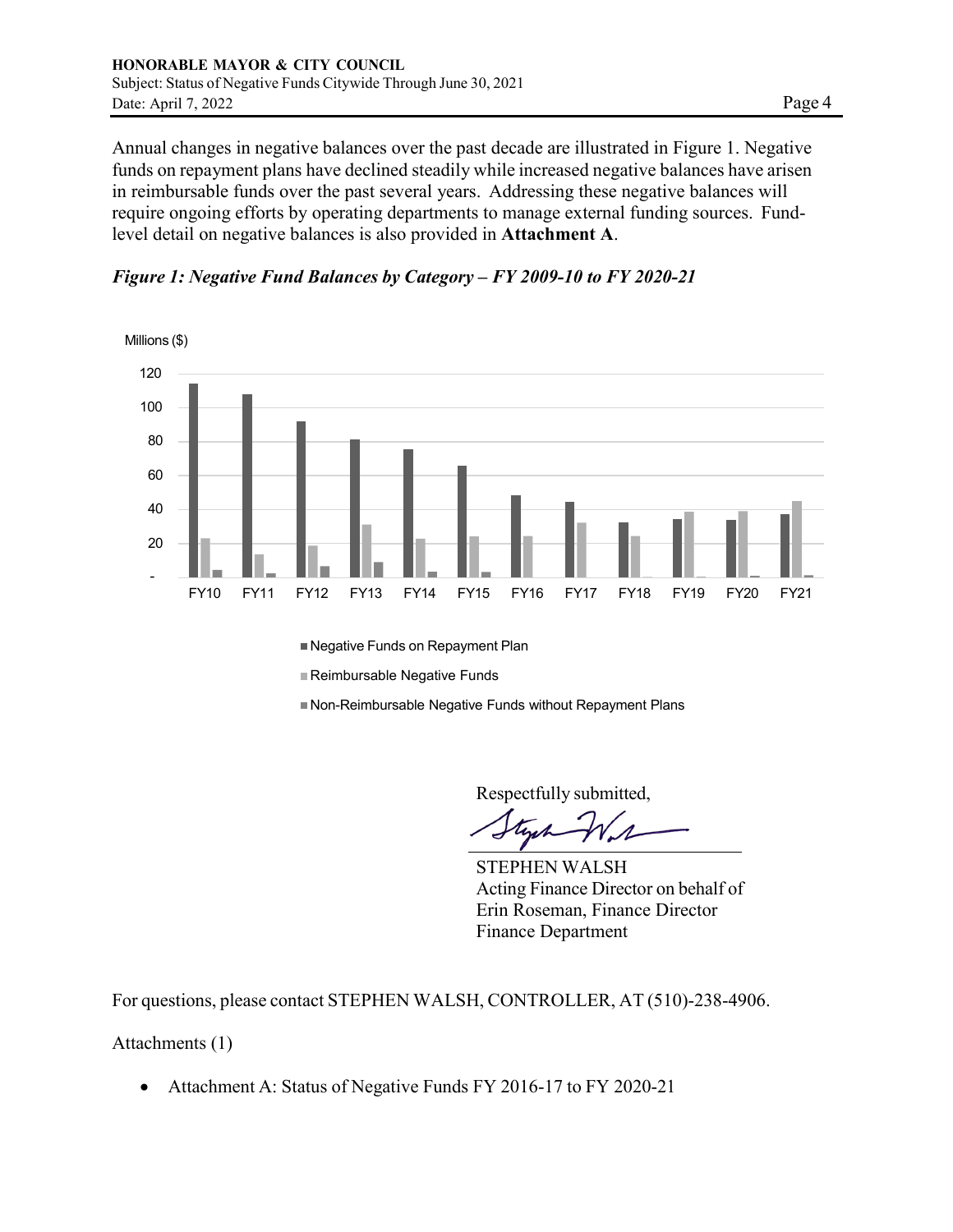Annual changes in negative balances over the past decade are illustrated in Figure 1. Negative funds on repayment plans have declined steadily while increased negative balances have arisen in reimbursable funds over the past several years. Addressing these negative balances will require ongoing efforts by operating departments to manage external funding sources. Fundlevel detail on negative balances is also provided in **Attachment A**.

*Figure 1: Negative Fund Balances by Category – FY 2009-10 to FY 2020-21*



■ Negative Funds on Repayment Plan

Reimbursable Negative Funds

Non-Reimbursable Negative Funds without Repayment Plans

Respectfully submitted,

STEPHEN WALSH Acting Finance Director on behalf of Erin Roseman, Finance Director Finance Department

For questions, please contact STEPHEN WALSH, CONTROLLER, AT (510)-238-4906.

Attachments (1)

• Attachment A: Status of Negative Funds FY 2016-17 to FY 2020-21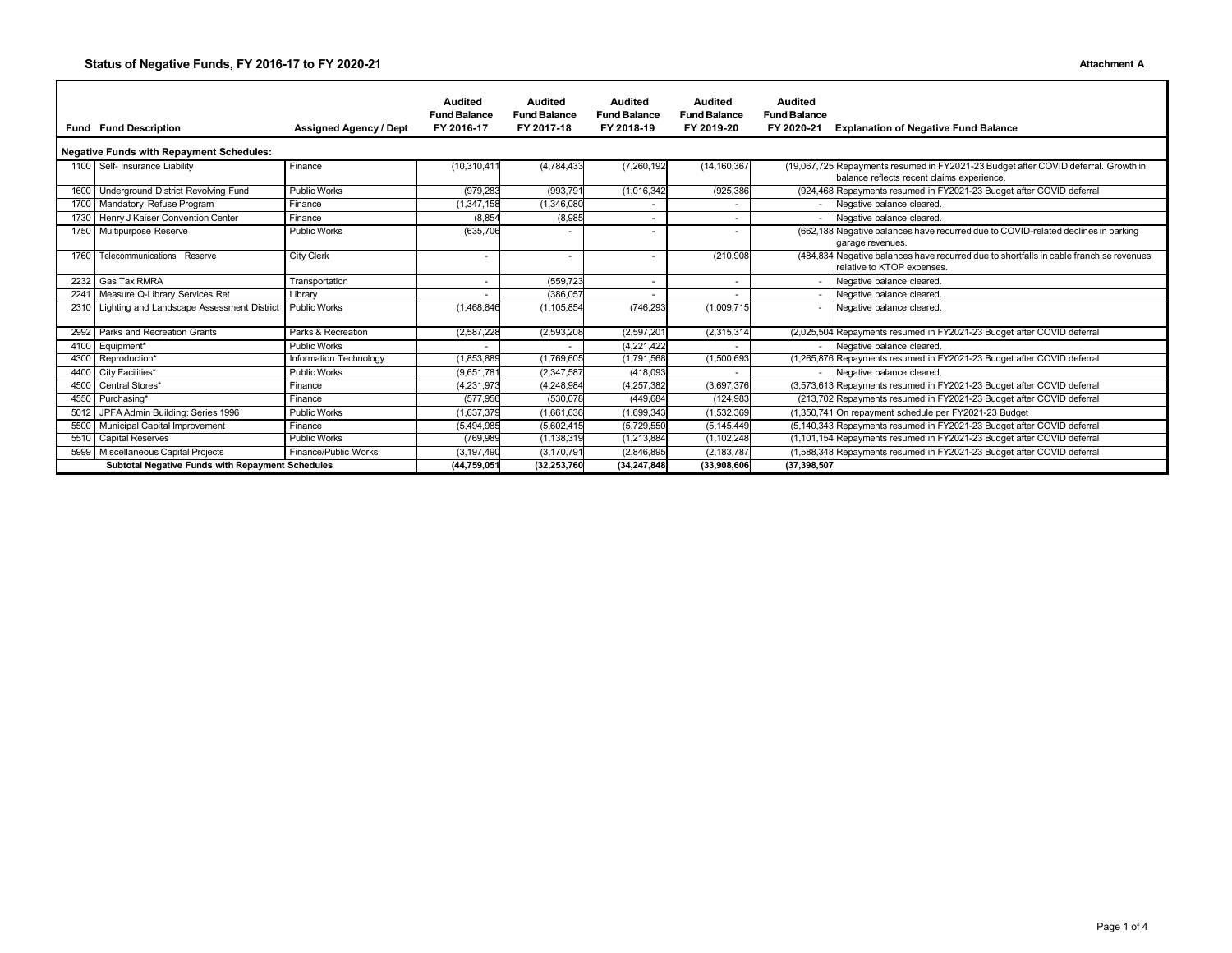#### **Status of Negative Funds, FY 2016-17 to FY 2020-21 Attachment A**

|                                                         | <b>Fund Fund Description</b>                    | <b>Assigned Agency / Dept</b> | <b>Audited</b><br><b>Fund Balance</b><br>FY 2016-17 | <b>Audited</b><br><b>Fund Balance</b><br>FY 2017-18 | <b>Audited</b><br><b>Fund Balance</b><br>FY 2018-19 | <b>Audited</b><br><b>Fund Balance</b><br>FY 2019-20 | <b>Audited</b><br><b>Fund Balance</b><br>FY 2020-21 | <b>Explanation of Negative Fund Balance</b>                                                                                      |  |  |  |
|---------------------------------------------------------|-------------------------------------------------|-------------------------------|-----------------------------------------------------|-----------------------------------------------------|-----------------------------------------------------|-----------------------------------------------------|-----------------------------------------------------|----------------------------------------------------------------------------------------------------------------------------------|--|--|--|
|                                                         | Negative Funds with Repayment Schedules:        |                               |                                                     |                                                     |                                                     |                                                     |                                                     |                                                                                                                                  |  |  |  |
|                                                         | 1100 Self- Insurance Liability                  | Finance                       | (10, 310, 411)                                      | (4,784,433)                                         | (7,260,192)                                         | (14, 160, 367)                                      |                                                     | (19,067,725 Repayments resumed in FY2021-23 Budget after COVID deferral. Growth in<br>balance reflects recent claims experience. |  |  |  |
| 1600                                                    | Underground District Revolving Fund             | <b>Public Works</b>           | (979, 283)                                          | (993, 791)                                          | (1,016,342)                                         | (925, 386)                                          |                                                     | (924,468 Repayments resumed in FY2021-23 Budget after COVID deferral                                                             |  |  |  |
|                                                         | 1700 Mandatory Refuse Program                   | Finance                       | (1, 347, 158)                                       | (1,346,080)                                         | ٠                                                   |                                                     |                                                     | Negative balance cleared.                                                                                                        |  |  |  |
|                                                         | 1730 Henry J Kaiser Convention Center           | Finance                       | (8, 854)                                            | (8,985)                                             | ٠                                                   |                                                     |                                                     | Negative balance cleared.                                                                                                        |  |  |  |
|                                                         | 1750 Multipurpose Reserve                       | <b>Public Works</b>           | (635,706                                            |                                                     |                                                     |                                                     |                                                     | (662,188 Negative balances have recurred due to COVID-related declines in parking<br>garage revenues.                            |  |  |  |
| 1760                                                    | Telecommunications Reserve                      | <b>City Clerk</b>             | $\blacksquare$                                      |                                                     | ٠                                                   | (210,908)                                           |                                                     | (484,834 Negative balances have recurred due to shortfalls in cable franchise revenues<br>relative to KTOP expenses.             |  |  |  |
|                                                         | 2232 Gas Tax RMRA                               | Transportation                | $\overline{\phantom{a}}$                            | (559, 723)                                          | ٠                                                   |                                                     | $\sim$                                              | Negative balance cleared.                                                                                                        |  |  |  |
| 2241                                                    | Measure Q-Library Services Ret                  | Library                       |                                                     | (386, 057)                                          |                                                     |                                                     |                                                     | Negative balance cleared.                                                                                                        |  |  |  |
|                                                         | 2310 Lighting and Landscape Assessment District | <b>Public Works</b>           | (1,468,846)                                         | (1, 105, 854)                                       | (746,293                                            | (1,009,715)                                         |                                                     | Negative balance cleared.                                                                                                        |  |  |  |
|                                                         | 2992 Parks and Recreation Grants                | Parks & Recreation            | (2,587,228)                                         | (2,593,208)                                         | (2,597,201)                                         | (2,315,314)                                         |                                                     | (2,025,504 Repayments resumed in FY2021-23 Budget after COVID deferral                                                           |  |  |  |
|                                                         | 4100 Equipment*                                 | <b>Public Works</b>           | $\sim$                                              |                                                     | (4,221,422)                                         |                                                     |                                                     | Negative balance cleared.                                                                                                        |  |  |  |
| 4300                                                    | Reproduction*                                   | Information Technology        | (1,853,889)                                         | (1,769,605)                                         | (1,791,568)                                         | (1,500,693)                                         |                                                     | (1,265,876 Repayments resumed in FY2021-23 Budget after COVID deferral                                                           |  |  |  |
| 4400                                                    | City Facilities*                                | <b>Public Works</b>           | (9,651,781)                                         | (2,347,587)                                         | (418,093                                            |                                                     |                                                     | Negative balance cleared.                                                                                                        |  |  |  |
| 4500                                                    | Central Stores*                                 | Finance                       | (4,231,973)                                         | (4, 248, 984)                                       | (4, 257, 382)                                       | (3,697,376)                                         |                                                     | (3,573,613 Repayments resumed in FY2021-23 Budget after COVID deferral                                                           |  |  |  |
| 4550                                                    | Purchasing*                                     | Finance                       | (577,956                                            | (530, 078)                                          | (449, 684)                                          | (124, 983)                                          |                                                     | (213,702 Repayments resumed in FY2021-23 Budget after COVID deferral                                                             |  |  |  |
| 5012                                                    | JPFA Admin Building: Series 1996                | <b>Public Works</b>           | (1,637,379)                                         | (1,661,636)                                         | (1,699,343)                                         | (1,532,369)                                         |                                                     | (1,350,741 On repayment schedule per FY2021-23 Budget                                                                            |  |  |  |
| 5500                                                    | Municipal Capital Improvement                   | Finance                       | (5,494,985)                                         | (5,602,415)                                         | (5,729,550)                                         | (5, 145, 449)                                       |                                                     | (5,140,343 Repayments resumed in FY2021-23 Budget after COVID deferral                                                           |  |  |  |
|                                                         | 5510 Capital Reserves                           | <b>Public Works</b>           | (769,989                                            | (1, 138, 319)                                       | (1,213,884)                                         | (1, 102, 248)                                       |                                                     | (1,101,154 Repayments resumed in FY2021-23 Budget after COVID deferral                                                           |  |  |  |
| 5999                                                    | Miscellaneous Capital Projects                  | Finance/Public Works          | (3, 197, 490)                                       | (3, 170, 791)                                       | (2,846,895)                                         | (2, 183, 787)                                       |                                                     | (1,588,348 Repayments resumed in FY2021-23 Budget after COVID deferral                                                           |  |  |  |
| <b>Subtotal Negative Funds with Repayment Schedules</b> |                                                 |                               | (44,759,051                                         | (32,253,760                                         | (34,247,848)                                        | (33,908,606                                         | (37,398,507                                         |                                                                                                                                  |  |  |  |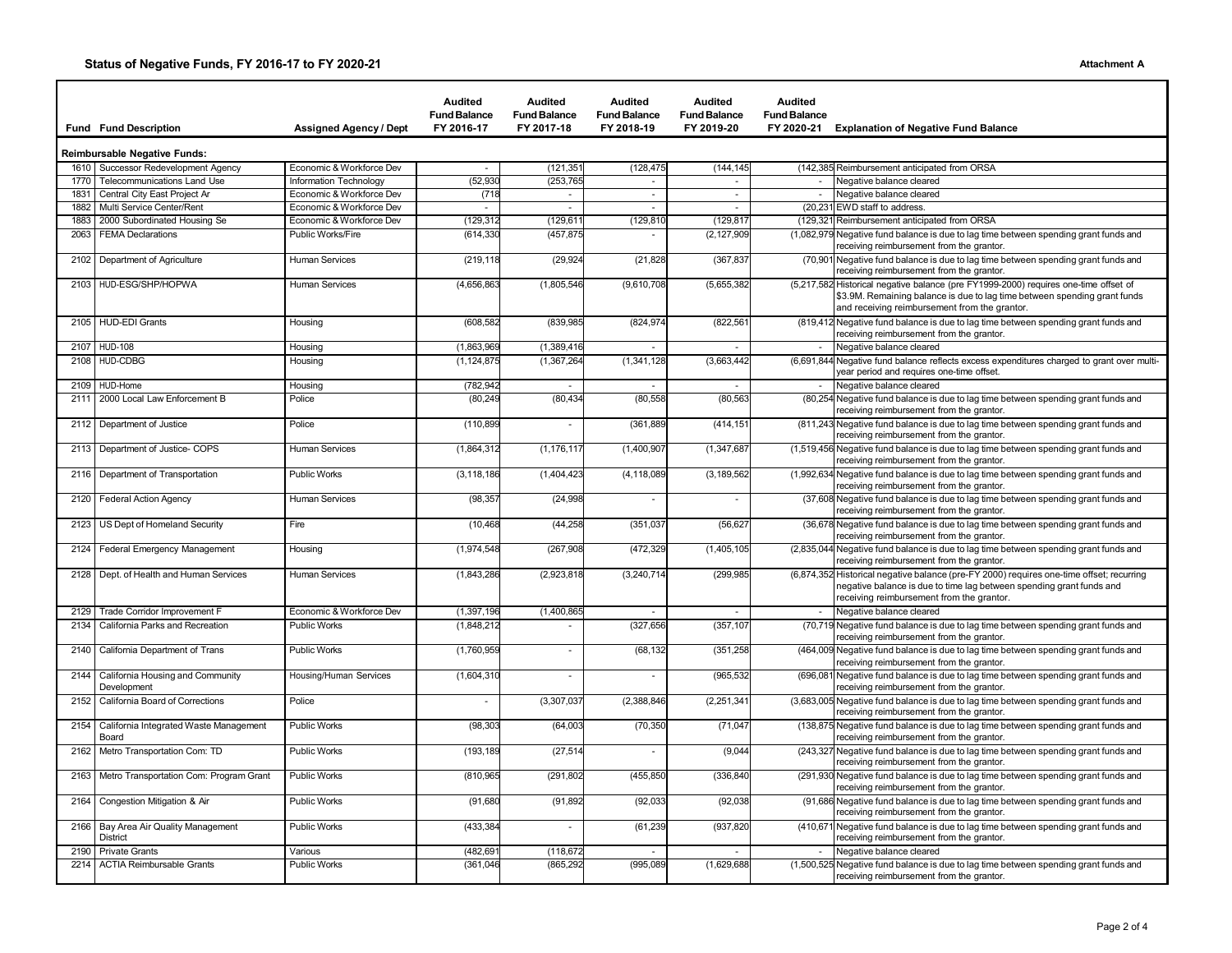|      | <b>Fund Fund Description</b>            | <b>Assigned Agency / Dept</b> | Audited<br><b>Fund Balance</b><br>FY 2016-17 | Audited<br><b>Fund Balance</b><br>FY 2017-18 | Audited<br><b>Fund Balance</b><br>FY 2018-19 | <b>Audited</b><br><b>Fund Balance</b><br>FY 2019-20 | Audited<br><b>Fund Balance</b> | FY 2020-21 Explanation of Negative Fund Balance                                                                                                                                                                    |
|------|-----------------------------------------|-------------------------------|----------------------------------------------|----------------------------------------------|----------------------------------------------|-----------------------------------------------------|--------------------------------|--------------------------------------------------------------------------------------------------------------------------------------------------------------------------------------------------------------------|
|      | eimbursable Negative Funds:             |                               |                                              |                                              |                                              |                                                     |                                |                                                                                                                                                                                                                    |
|      | 1610 Successor Redevelopment Agency     | Economic & Workforce Dev      |                                              | (121, 351)                                   | (128, 475)                                   | (144, 145)                                          |                                | (142,385 Reimbursement anticipated from ORSA                                                                                                                                                                       |
| 1770 | <b>Telecommunications Land Use</b>      | Information Technology        | (52, 930)                                    | (253,765                                     | $\overline{\phantom{a}}$                     |                                                     |                                | Negative balance cleared                                                                                                                                                                                           |
| 1831 | Central City East Project Ar            | Economic & Workforce Dev      | (718)                                        | $\sim$                                       | $\overline{\phantom{a}}$                     | $\sim$                                              |                                | Negative balance cleared                                                                                                                                                                                           |
| 1882 | Multi Service Center/Rent               | Economic & Workforce Dev      |                                              | $\sim$                                       | $\sim$                                       | $\sim$                                              |                                | (20,231 EWD staff to address.                                                                                                                                                                                      |
| 1883 | 2000 Subordinated Housing Se            | Economic & Workforce Dev      | (129, 312)                                   | (129, 61)                                    | (129, 810)                                   | (129, 81)                                           |                                | (129,321 Reimbursement anticipated from ORSA                                                                                                                                                                       |
| 2063 | <b>FEMA Declarations</b>                | Public Works/Fire             | (614, 330)                                   | (457, 875)                                   |                                              | (2, 127, 909)                                       |                                | (1,082,979 Negative fund balance is due to lag time between spending grant funds and<br>receiving reimbursement from the grantor.                                                                                  |
|      | 2102 Department of Agriculture          | <b>Human Services</b>         | (219, 118)                                   | (29, 924)                                    | (21, 828)                                    | (367, 837)                                          |                                | (70,901 Negative fund balance is due to lag time between spending grant funds and<br>receiving reimbursement from the grantor.                                                                                     |
|      | 2103 HUD-ESG/SHP/HOPWA                  | <b>Human Services</b>         | (4,656,863)                                  | (1,805,546)                                  | (9,610,708)                                  | (5,655,382)                                         |                                | (5,217,582 Historical negative balance (pre FY1999-2000) requires one-time offset of<br>\$3.9M. Remaining balance is due to lag time between spending grant funds<br>and receiving reimbursement from the grantor. |
|      | 2105 HUD-EDI Grants                     | Housing                       | (608, 582)                                   | (839,985                                     | (824, 974)                                   | (822, 56)                                           |                                | (819,412 Negative fund balance is due to lag time between spending grant funds and<br>receiving reimbursement from the grantor.                                                                                    |
| 2107 | <b>HUD-108</b>                          | Housing                       | (1,863,969)                                  | (1,389,416)                                  | $\overline{\phantom{a}}$                     |                                                     |                                | Negative balance cleared                                                                                                                                                                                           |
|      | 2108 HUD-CDBG                           | Housing                       | (1, 124, 875)                                | (1,367,264)                                  | (1, 341, 128)                                | (3,663,442)                                         |                                | (6,691,844 Negative fund balance reflects excess expenditures charged to grant over multi-<br>year period and requires one-time offset.                                                                            |
|      | 2109 HUD-Home                           | Housing                       | (782, 942)                                   |                                              | $\sim$                                       |                                                     |                                | - Negative balance cleared                                                                                                                                                                                         |
|      | 2111 2000 Local Law Enforcement B       | Police                        | (80, 249)                                    | (80, 434)                                    | (80, 558)                                    | (80, 563)                                           |                                | (80,254 Negative fund balance is due to lag time between spending grant funds and<br>receiving reimbursement from the grantor.                                                                                     |
|      | 2112 Department of Justice              | Police                        | (110, 899)                                   |                                              | (361, 889)                                   | (414, 151)                                          |                                | (811,243 Negative fund balance is due to lag time between spending grant funds and<br>receiving reimbursement from the grantor.                                                                                    |
|      | 2113 Department of Justice- COPS        | <b>Human Services</b>         | (1,864,312)                                  | (1, 176, 117                                 | (1,400,907)                                  | (1,347,687)                                         |                                | (1,519,456 Negative fund balance is due to lag time between spending grant funds and<br>receiving reimbursement from the grantor.                                                                                  |
|      | 2116   Department of Transportation     | <b>Public Works</b>           | (3, 118, 186)                                | (1,404,423)                                  | (4, 118, 089)                                | (3, 189, 562)                                       |                                | (1,992,634 Negative fund balance is due to lag time between spending grant funds and<br>receiving reimbursement from the grantor.                                                                                  |
|      | 2120 Federal Action Agency              | <b>Human Services</b>         | (98, 35)                                     | (24, 998)                                    |                                              | ٠                                                   |                                | (37,608 Negative fund balance is due to lag time between spending grant funds and<br>receiving reimbursement from the grantor.                                                                                     |
|      | 2123 US Dept of Homeland Security       | Fire                          | (10, 468)                                    | (44, 258)                                    | (351,037)                                    | (56, 627)                                           |                                | (36,678 Negative fund balance is due to lag time between spending grant funds and<br>receiving reimbursement from the grantor.                                                                                     |
|      | 2124 Federal Emergency Management       | Housing                       | (1,974,548)                                  | (267, 908)                                   | (472,329                                     | (1,405,105)                                         |                                | (2,835,044 Negative fund balance is due to lag time between spending grant funds and<br>receiving reimbursement from the grantor.                                                                                  |
|      | 2128 Dept. of Health and Human Services | <b>Human Services</b>         | (1,843,286)                                  | (2,923,818                                   | (3, 240, 714)                                | (299,985)                                           |                                | (6,874,352 Historical negative balance (pre-FY 2000) requires one-time offset; recurring<br>negative balance is due to time lag between spending grant funds and<br>receiving reimbursement from the grantor.      |
|      | 2129 Trade Corridor Improvement F       | Economic & Workforce Dev      | (1, 397, 196)                                | (1,400,865)                                  |                                              |                                                     |                                | Negative balance cleared                                                                                                                                                                                           |
|      | 2134 California Parks and Recreation    | <b>Public Works</b>           | (1,848,212)                                  |                                              | (327, 656)                                   | (357, 107)                                          |                                | (70,719 Negative fund balance is due to lag time between spending grant funds and<br>receiving reimbursement from the grantor.                                                                                     |
|      | 2140 California Department of Trans     | Public Works                  | (1760.959                                    |                                              | (68132)                                      | (351.258)                                           |                                | (464,000 Negative fund balance is due to lag time between spending grapt funds and                                                                                                                                 |

| 2129 | Trade Corridor Improvement F                            | Economic & Workforce Dev | (1, 397, 196) | (1,400,865) |             |             | Negative balance cleared                                                                                                          |
|------|---------------------------------------------------------|--------------------------|---------------|-------------|-------------|-------------|-----------------------------------------------------------------------------------------------------------------------------------|
| 2134 | California Parks and Recreation                         | <b>Public Works</b>      | (1,848,212)   |             | (327, 656)  | (357, 107)  | (70,719 Negative fund balance is due to lag time between spending grant funds and<br>receiving reimbursement from the grantor.    |
|      | 2140 California Department of Trans                     | <b>Public Works</b>      | (1,760,959)   |             | (68, 132)   | (351, 258)  | (464,009 Negative fund balance is due to lag time between spending grant funds and<br>receiving reimbursement from the grantor.   |
|      | 2144 California Housing and Community<br>Development    | Housing/Human Services   | (1,604,310)   |             |             | (965,532)   | (696,081 Negative fund balance is due to lag time between spending grant funds and<br>receiving reimbursement from the grantor.   |
|      | 2152 California Board of Corrections                    | Police                   |               | (3,307,037) | (2,388,846) | (2,251,341) | (3,683,005 Negative fund balance is due to lag time between spending grant funds and<br>receiving reimbursement from the grantor. |
|      | 2154 California Integrated Waste Management<br>Board    | <b>Public Works</b>      | (98, 303)     | (64,003)    | (70, 350)   | (71, 047)   | (138,875 Negative fund balance is due to lag time between spending grant funds and<br>receiving reimbursement from the grantor.   |
|      | 2162 Metro Transportation Com: TD                       | <b>Public Works</b>      | (193, 189)    | (27, 514)   |             | (9,044)     | (243,327 Negative fund balance is due to lag time between spending grant funds and<br>receiving reimbursement from the grantor.   |
|      | 2163   Metro Transportation Com: Program Grant          | <b>Public Works</b>      | (810,965      | (291, 802)  | (455,850    | (336,840    | (291,930 Negative fund balance is due to lag time between spending grant funds and<br>receiving reimbursement from the grantor.   |
|      | 2164 Congestion Mitigation & Air                        | <b>Public Works</b>      | (91, 680)     | (91, 892)   | (92, 033)   | (92, 038)   | (91,686 Negative fund balance is due to lag time between spending grant funds and<br>receiving reimbursement from the grantor.    |
|      | 2166 Bay Area Air Quality Management<br><b>District</b> | <b>Public Works</b>      | (433,384      |             | (61, 239)   | (937, 820)  | (410,671 Negative fund balance is due to lag time between spending grant funds and<br>receiving reimbursement from the grantor.   |
|      | 2190 Private Grants                                     | Various                  | (482,691      | (118, 672)  |             |             | Negative balance cleared                                                                                                          |
|      | 2214   ACTIA Reimbursable Grants                        | <b>Public Works</b>      | (361, 046)    | (865, 292)  | (995,089)   | (1,629,688) | (1,500,525 Negative fund balance is due to lag time between spending grant funds and<br>receiving reimbursement from the grantor. |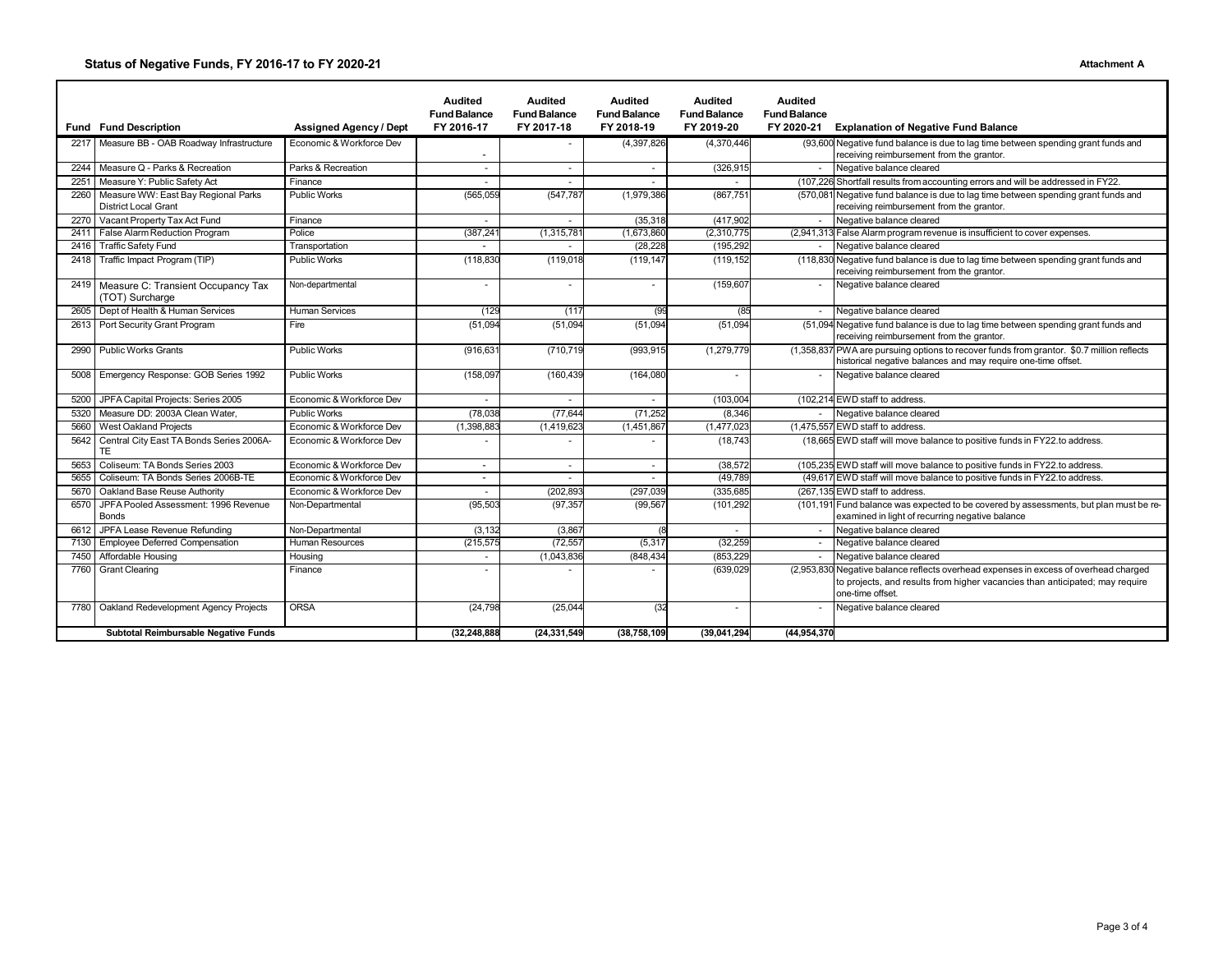### **Status of Negative Funds, FY 2016-17 to FY 2020-21 Attachment A**

|                                      |                                                                    |                               | <b>Audited</b><br><b>Fund Balance</b> | <b>Audited</b><br><b>Fund Balance</b> | <b>Audited</b><br><b>Fund Balance</b> | <b>Audited</b><br><b>Fund Balance</b> | <b>Audited</b><br><b>Fund Balance</b> |                                                                                                                                                                               |
|--------------------------------------|--------------------------------------------------------------------|-------------------------------|---------------------------------------|---------------------------------------|---------------------------------------|---------------------------------------|---------------------------------------|-------------------------------------------------------------------------------------------------------------------------------------------------------------------------------|
|                                      | <b>Fund Fund Description</b>                                       | <b>Assigned Agency / Dept</b> | FY 2016-17                            | FY 2017-18                            | FY 2018-19                            | FY 2019-20                            | FY 2020-21                            | <b>Explanation of Negative Fund Balance</b>                                                                                                                                   |
|                                      | 2217 Measure BB - OAB Roadway Infrastructure                       | Economic & Workforce Dev      |                                       |                                       | (4, 397, 826)                         | (4,370,446)                           |                                       | (93,600 Negative fund balance is due to lag time between spending grant funds and<br>receiving reimbursement from the grantor.                                                |
| 2244                                 | Measure Q - Parks & Recreation                                     | Parks & Recreation            |                                       | $\sim$                                |                                       | (326, 915)                            |                                       | Negative balance cleared                                                                                                                                                      |
| 2251                                 | Measure Y: Public Safety Act                                       | Finance                       |                                       | ÷.                                    |                                       |                                       |                                       | (107,226 Shortfall results from accounting errors and will be addressed in FY22.                                                                                              |
| 2260                                 | Measure WW: East Bay Regional Parks<br><b>District Local Grant</b> | <b>Public Works</b>           | (565, 059)                            | (547, 787)                            | (1,979,386)                           | (867, 751)                            |                                       | (570,081 Negative fund balance is due to lag time between spending grant funds and<br>receiving reimbursement from the grantor.                                               |
| 2270                                 | Vacant Property Tax Act Fund                                       | Finance                       |                                       |                                       | (35, 318)                             | (417, 902)                            |                                       | Negative balance cleared                                                                                                                                                      |
| 2411                                 | False Alarm Reduction Program                                      | Police                        | (387, 24)                             | (1,315,78)                            | (1,673,860)                           | (2,310,775)                           |                                       | (2,941,313 False Alarm program revenue is insufficient to cover expenses.                                                                                                     |
| 2416                                 | <b>Traffic Safety Fund</b>                                         | Transportation                |                                       |                                       | (28, 228)                             | (195, 292)                            |                                       | Negative balance cleared                                                                                                                                                      |
|                                      | 2418 Traffic Impact Program (TIP)                                  | <b>Public Works</b>           | (118, 830)                            | (119, 018)                            | (119, 147)                            | (119, 152)                            |                                       | (118,830 Negative fund balance is due to lag time between spending grant funds and<br>receiving reimbursement from the grantor.                                               |
|                                      | 2419 Measure C: Transient Occupancy Tax<br>(TOT) Surcharge         | Non-departmental              |                                       | ×                                     |                                       | (159, 607)                            |                                       | Negative balance cleared                                                                                                                                                      |
| 2605                                 | Dept of Health & Human Services                                    | <b>Human Services</b>         | (129                                  | (117)                                 | (99                                   | (85)                                  |                                       | Negative balance cleared                                                                                                                                                      |
|                                      | 2613 Port Security Grant Program                                   | Fire                          | (51,094)                              | (51,094)                              | (51,094)                              | (51,094)                              |                                       | (51,094 Negative fund balance is due to lag time between spending grant funds and<br>receiving reimbursement from the grantor.                                                |
| 2990                                 | <b>Public Works Grants</b>                                         | <b>Public Works</b>           | (916, 63)                             | (710,719                              | (993,915                              | (1,279,779)                           |                                       | (1,358,837 PWA are pursuing options to recover funds from grantor. \$0.7 million reflects<br>historical negative balances and may require one-time offset.                    |
| 5008                                 | Emergency Response: GOB Series 1992                                | <b>Public Works</b>           | (158,097)                             | (160, 439)                            | (164, 080)                            |                                       |                                       | Negative balance cleared                                                                                                                                                      |
| 5200                                 | JPFA Capital Projects: Series 2005                                 | Economic & Workforce Dev      |                                       |                                       |                                       | (103,004                              |                                       | (102,214 EWD staff to address.                                                                                                                                                |
| 5320                                 | Measure DD: 2003A Clean Water.                                     | <b>Public Works</b>           | (78, 038)                             | (77, 644)                             | (71, 252)                             | (8, 346)                              |                                       | Negative balance cleared                                                                                                                                                      |
| 5660                                 | West Oakland Projects                                              | Economic & Workforce Dev      | (1,398,88)                            | (1,419,623)                           | (1,451,867)                           | (1,477,023)                           |                                       | (1,475,557 EWD staff to address.                                                                                                                                              |
| 5642                                 | Central City East TA Bonds Series 2006A-<br>TE                     | Economic & Workforce Dev      |                                       |                                       |                                       | (18, 743)                             |                                       | (18,665 EWD staff will move balance to positive funds in FY22.to address.                                                                                                     |
| 5653                                 | Coliseum: TA Bonds Series 2003                                     | Economic & Workforce Dev      | $\overline{\phantom{a}}$              | $\overline{\phantom{a}}$              | $\overline{a}$                        | (38, 572)                             |                                       | (105,235 EWD staff will move balance to positive funds in FY22.to address.                                                                                                    |
| 5655                                 | Coliseum: TA Bonds Series 2006B-TE                                 | Economic & Workforce Dev      | $\overline{\phantom{a}}$              | $\sim$                                | $\sim$                                | (49, 789)                             |                                       | (49,617 EWD staff will move balance to positive funds in FY22.to address.                                                                                                     |
| 5670                                 | Oakland Base Reuse Authority                                       | Economic & Workforce Dev      |                                       | (202, 893)                            | (297,039                              | (335, 685)                            |                                       | (267,135 EWD staff to address.                                                                                                                                                |
| 6570                                 | JPFA Pooled Assessment: 1996 Revenue<br><b>Bonds</b>               | Non-Departmental              | (95, 503)                             | (97, 357)                             | (99, 567)                             | (101, 292)                            |                                       | (101,191 Fund balance was expected to be covered by assessments, but plan must be re-<br>examined in light of recurring negative balance                                      |
| 6612                                 | JPFA Lease Revenue Refunding                                       | Non-Departmental              | (3, 132)                              | (3,867)                               |                                       |                                       |                                       | Negative balance cleared                                                                                                                                                      |
| 7130                                 | <b>Employee Deferred Compensation</b>                              | <b>Human Resources</b>        | (215, 575)                            | (72, 55)                              | (5, 317)                              | (32, 259)                             |                                       | Negative balance cleared                                                                                                                                                      |
| 7450                                 | Affordable Housing                                                 | Housing                       |                                       | (1,043,836)                           | (848,434                              | (853, 229)                            | $\sim$                                | Negative balance cleared                                                                                                                                                      |
| 7760                                 | <b>Grant Clearing</b>                                              | Finance                       |                                       |                                       |                                       | (639, 029)                            | (2,953,830)                           | Negative balance reflects overhead expenses in excess of overhead charged<br>to projects, and results from higher vacancies than anticipated; may require<br>one-time offset. |
| 7780                                 | Oakland Redevelopment Agency Projects                              | <b>ORSA</b>                   | (24, 798)                             | (25,044)                              | (32)                                  |                                       |                                       | Negative balance cleared                                                                                                                                                      |
| Subtotal Reimbursable Negative Funds |                                                                    |                               | (32,248,888                           | (24,331,549                           | (38,758,109)                          | (39,041,294)                          | (44,954,370                           |                                                                                                                                                                               |

┑